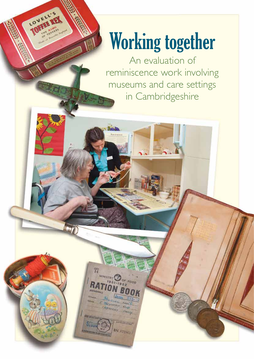# Working together

LOVELL'S

An evaluation of reminiscence work involving museums and care settings in Cambridgeshire

岢

h'73961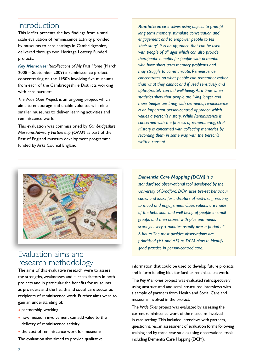# Introduction

This leaflet presents the key findings from a small scale evaluation of reminiscence activity provided by museums to care settings in Cambridgeshire, delivered through two Heritage Lottery Funded projects.

*Key Memories: Recollections of My First Home* (March 2008 – September 2009) a reminiscence project concentrating on the 1950's involving five museums from each of the Cambridgeshire Districts working with care partners.

*The Wide Skies Project*, is an ongoing project which aims to encourage and enable volunteers in nine smaller museums to deliver learning activities and reminiscence work.

This evaluation was commissioned by *Cambridgeshire Museums Advisory Partnership (CMAP)* as part of the East of England museum development programme funded by Arts Council England.

*Reminiscence involves using objects to prompt long term memory, stimulate conversation and engagement and to empower people to tell 'their story'. It is an approach that can be used with people of all ages which can also provide therapeutic benefits for people with dementia who have short term memory problems and may struggle to communicate. Reminiscence concentrates on what people can remember rather than what they cannot and if used sensitively and appropriately can aid well-being. At a time when statistics show that people are living longer and more people are living with dementia, reminiscence is an important person-centred approach which values a person's history. While Reminiscence is concerned with the process of remembering, Oral History is concerned with collecting memories by recording them in some way, with the person's written consent.*



# Evaluation aims and research methodology

The aims of this evaluative research were to assess the strengths, weaknesses and success factors in both projects and in particular the benefits for museums as providers and the health and social care sector as recipients of reminiscence work. Further aims were to gain an understanding of:

- partnership working
- how museum involvement can add value to the delivery of reminiscence activity
- the cost of reminiscence work for museums.

The evaluation also aimed to provide qualitative

*Dementia Care Mapping (DCM) is a standardised observational tool developed by the University of Bradford. DCM uses pre-set behaviour codes and looks for indicators of well-being relating to mood and engagement. Observations are made of the behaviour and well being of people in small groups and then scored with plus and minus scorings every 5 minutes usually over a period of 6 hours. The most positive observations are prioritised (+3 and +5) as DCM aims to identify good practice in person-centred care.* 

information that could be used to develop future projects and inform funding bids for further reminiscence work. The *Key Memories* project was evaluated retrospectively using unstructured and semi–structured interviews with a sample of partners from Health and Social Care and museums involved in the project.

The *Wide Skies* project was evaluated by assessing the current reminiscence work of the museums involved in care settings. This included interviews with partners, questionnaires, an assessment of evaluation forms following training and by three case studies using observational tools including Dementia Care Mapping (DCM).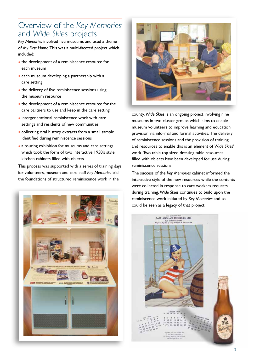# Overview of the *Key Memories*  and *Wide Skies* projects

*Key Memories* involved five museums and used a theme of *My First Home*. This was a multi-faceted project which included:

- the development of a reminiscence resource for each museum
- each museum developing a partnership with a care setting
- the delivery of five reminiscence sessions using the museum resource
- the development of a reminiscence resource for the care partners to use and keep in the care setting
- intergenerational reminiscence work with care settings and residents of new communities
- collecting oral history extracts from a small sample identified during reminiscence sessions
- a touring exhibition for museums and care settings which took the form of two interactive 1950's style kitchen cabinets filled with objects.

This process was supported with a series of training days for volunteers, museum and care staff *Key Memories* laid the foundations of structured reminiscence work in the





county. *Wide Skies* is an ongoing project involving nine museums in two cluster groups which aims to enable museum volunteers to improve learning and education provision via informal and formal activities. The delivery of reminiscence sessions and the provision of training and resources to enable this is an element of *Wide Skies*' work. Two table top sized dressing table resources filled with objects have been developed for use during reminiscence sessions.

The success of the *Key Memories* cabinet informed the interactive style of the new resources while the contents were collected in response to care workers requests during training. *Wide Skies* continues to build upon the reminiscence work initiated by *Key Memories* and so could be seen as a legacy of that project.

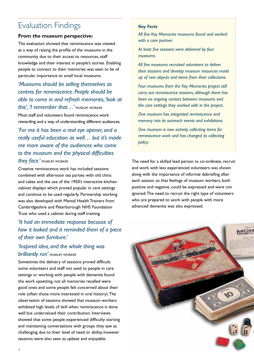# Evaluation Findings

#### **From the museum perspective:**

The evaluation showed that reminiscence was viewed as a way of raising the profile of the museums in the community due to their access to resources, staff knowledge and their interest in people's stories. Enabling people to connect to their memories was seen to be of particular importance to small local museums.

## *'Museums should be selling themselves as centres for reminiscence. People should be able to come in and refresh memories, 'look at this', 'I remember that…'* museum worker

Most staff and volunteers found reminiscence work rewarding and a way of understanding different audiences.

## *'For me it has been a real eye opener, and a really useful education as well… but it's made me more aware of the audiences who come to the museum and the physical difficulties*

#### *they face.'* museum worker

Creative reminiscence work has included sessions combined with afternoon tea parties with old china and cakes and the use of the 1950's interactive kitchen cabinet displays which proved popular in care settings and continue to be used regularly. Partnership working was also developed with Mental Health Trainers from Cambridgeshire and Peterborough NHS Foundation Trust who used a cabinet during staff training.

## *'It had an immediate response because of how it looked and it reminded them of a piece of their own furniture.'*

## *'Inspired idea, and the whole thing was brilliantly run'* museum worker

Sometimes the delivery of sessions proved difficult; some volunteers and staff not used to people in care settings or working with people with dementia found the work upsetting, not all memories recalled were good ones and some people felt concerned about their role (often those more interested in oral history). The observation of sessions showed that museum workers exhibited high levels of skill when reminiscence is done well but undervalued their contribution. Interviews showed that some people experienced difficulty starting and maintaining conversations with groups they saw as challenging due to their level of need or ability, however sessions were also seen as upbeat and enjoyable.

#### *Key Facts*

*All five Key Memories museums found and worked with a care partner.*

*At least five sessions were delivered by four museums.*

*All five museums recruited volunteers to deliver their sessions and develop museum resources made up of new objects and items from their collections.*

*Four museums from the Key Memories project still carry out reminiscence sessions, although there has been no ongoing contact between museums and the care settings they worked with in the project.*

*One museum has integrated reminiscence and memory into its outreach events and exhibitions.*

*One museum is now actively collecting items for reminiscence work and has changed its collecting policy.*

The need for a skilled lead person to co-ordinate, recruit and work with less experienced volunteers was shown along with the importance of informal debriefing after each session so that feelings of museum workers, both positive and negative, could be expressed and were not ignored. The need to recruit the right type of volunteers who are prepared to work with people with more advanced dementia was also expressed.

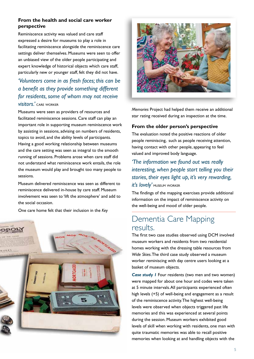### **From the health and social care worker perspective**

Reminiscence activity was valued and care staff expressed a desire for museums to play a role in facilitating reminiscence alongside the reminiscence care settings deliver themselves. Museums were seen to offer an unbiased view of the older people participating and expert knowledge of historical objects which care staff, particularly new or younger staff, felt they did not have.

## *'Volunteers come in as fresh faces; this can be a benefit as they provide something different for residents, some of whom may not receive visitors.'* care worker

Museums were seen as providers of resources and facilitated reminiscence sessions. Care staff can play an important role in supporting museum reminiscence work by assisting in sessions, advising on numbers of residents, topics to avoid, and the ability levels of participants. Having a good working relationship between museums and the care setting was seen as integral to the smooth running of sessions. Problems arose when care staff did not understand what reminiscence work entails, the role the museum would play and brought too many people to sessions.

Museum delivered reminiscence was seen as different to reminiscence delivered in-house by care staff. Museum involvement was seen to 'lift the atmosphere' and add to the social occasion.

One care home felt that their inclusion in the *Key* 





*Memories* Project had helped them receive an additional star rating received during an inspection at the time.

#### **From the older person's perspective**

The evaluation noted the positive reactions of older people reminiscing, such as people receiving attention, having contact with other people, appearing to feel valued and improved body language.

## *'The information we found out was really interesting, when people start telling you their stories, their eyes light up, it's very rewarding, it's lovely'* museum worker

The findings of the mapping exercises provide additional information on the impact of reminiscence activity on the well-being and mood of older people.

# Dementia Care Mapping results.

The first two case studies observed using DCM involved museum workers and residents from two residential homes working with the dressing table resources from *Wide Skies*. The third case study observed a museum worker reminiscing with day centre users looking at a basket of museum objects.

*Case study 1* Four residents (two men and two women) were mapped for about one hour and codes were taken at 5 minute intervals. All participants experienced often high levels (+5) of well-being and engagement as a result of the reminiscence activity. The highest well-being levels were observed when objects triggered past life memories and this was experienced at several points during the session. Museum workers exhibited good levels of skill when working with residents, one man with quite traumatic memories was able to recall positive memories when looking at and handling objects with the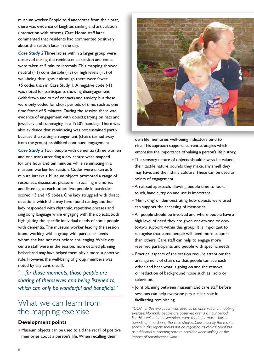museum worker. People told anecdotes from their past, there was evidence of laughter, smiling and articulation (interaction with others). Care Home staff later commented that residents had commented positively about the session later in the day.

*Case Study 2* Three ladies within a larger group were observed during the reminiscence session and codes were taken at 5 minute intervals. This mapping showed neutral (+1) considerable (+3) or high levels (+5) of well-being throughout although there were fewer +5 codes than in Case Study 1. A negative code (-1) was noted for participants showing disengagement (withdrawn and out of contact) and anxiety, but these were only coded for short periods of time, such as one time frame of 5 minutes. During the session there was evidence of engagement with objects; trying on hats and jewellery and rummaging in a 1950's handbag. There was also evidence that reminiscing was not sustained partly because the seating arrangement (chairs turned away from the group) prohibited continued engagement.

*Case Study 3* Four people with dementia (three women and one man) attending a day centre were mapped for one hour and ten minutes while reminiscing in a museum worker led session. Codes were taken at 5 minute intervals. Museum objects prompted a range of responses; discussion, pleasure in recalling memories and listening to each other. Two people in particular scored +3 and +5 codes. One lady struggled with direct questions which she may have found testing; another lady responded with rhythmic, repetitive phrases and sing song language while engaging with the objects, both highlighting the specific individual needs of some people with dementia. The museum worker leading the session found working with a group with particular needs whom she had not met before challenging. While day centre staff were in the session, more detailed planning beforehand may have helped them play a more supportive role. However, the well-being of group members was noted by day centre staff:

*'…for those moments, those people are sharing of themselves and being listened to, which can only be wonderful and beneficial. '* 

## What we can learn from the mapping exercise

#### **Development points**

• Museum objects can be used to aid the recall of positive memories about a person's life. When recalling their



own life memories well-being indicators tend to rise. This approach supports current strategies which emphasise the importance of valuing a person's life history.

- The sensory nature of objects should always be valued; their tactile nature, sounds they make, any smell they may have, and their shiny colours. These can be used as points of engagement.
- A relaxed approach, allowing people time to look, touch, handle, try on and use is important.
- •'Mimicking' or demonstrating how objects were used can support the accessing of memories.
- All people should be involved and where people have a high level of need they are given one-to-one or oneto-two support within this group. It is important to recognise that some people will need more support than others. Care staff can help to engage more reserved participants and people with specific needs.
- Practical aspects of the session require attention: the arrangement of chairs so that people can see each other and hear what is going on and the removal or reduction of background noise such as radio or television.
- Joint planning between museum and care staff before sessions can help everyone play a clear role in facilitating reminiscing.

*\*DCM for this evaluation was used as an observational mapping exercise. Normally people are observed over a 6 hour period. For this evaluation observations were made for much shorter periods of time during the case studies. Consequently the results shown in the report should not be regarded as clinical proof but as additional supporting data to consider when looking at the impact of reminiscence work."*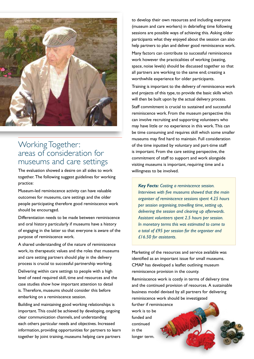

## Working Together: areas of consideration for museums and care settings

The evaluation showed a desire on all sides to work together. The following suggest guidelines for working practice:

Museum-led reminiscence activity can have valuable outcomes for museums, care settings and the older people participating therefore good reminiscence work should be encouraged.

Differentiation needs to be made between reminiscence and oral history particularly if museums have a history of engaging in the latter so that everyone is aware of the purpose of reminiscence work.

A shared understanding of the nature of reminiscence work, its therapeutic values and the roles that museums and care setting partners should play in the delivery process is crucial to successful partnership working.

Delivering within care settings to people with a high level of need required skill, time and resources and the case studies show how important attention to detail is. Therefore, museums should consider this before embarking on a reminiscence session.

Building and maintaining good working relationships is important. This could be achieved by developing, ongoing clear communication channels, and understanding each others particular needs and objectives. Increased information, providing opportunities for partners to learn together by joint training, museums helping care partners

to develop their own resources and including everyone (museum and care workers) in debriefing time following sessions are possible ways of achieving this. Asking older participants what they enjoyed about the session can also help partners to plan and deliver good reminiscence work.

Many factors can contribute to successful reminiscence work however the practicalities of working (seating, space, noise levels) should be discussed together so that all partners are working to the same end; creating a worthwhile experience for older participants.

Training is important to the delivery of reminiscence work and projects of this type, to provide the basic skills which will then be built upon by the actual delivery process.

Staff commitment is crucial to sustained and successful reminiscence work. From the museum perspective this can involve recruiting and supporting volunteers who may have little or no experience in this work. This can be time consuming and requires skill which some smaller museums may find hard to maintain. Full consideration of the time inputted by voluntary and part-time staff is important. From the care setting perspective, the commitment of staff to support and work alongside visiting museums is important, requiring time and a willingness to be involved.

*Key Facts: Costing a reminiscence session. Interviews with five museums showed that the main organiser of reminiscence sessions spent 4.25 hours per session organising, travelling time, setting up, delivering the session and clearing up afterwards. Assistant volunteers spent 2.5 hours per session. In monetary terms this was estimated to come to a total of £95 per session for the organiser and £16.50 for assistants.* 

Marketing of the resources and service available was identified as an important issue for small museums. CMAP has developed a leaflet outlining museum reminiscence provision in the county.

Reminiscence work is costly in terms of delivery time and the continued provision of resources. A sustainable business model devised by all partners for delivering reminiscence work should be investigated

further if reminiscence work is to be funded and continued in the longer term.